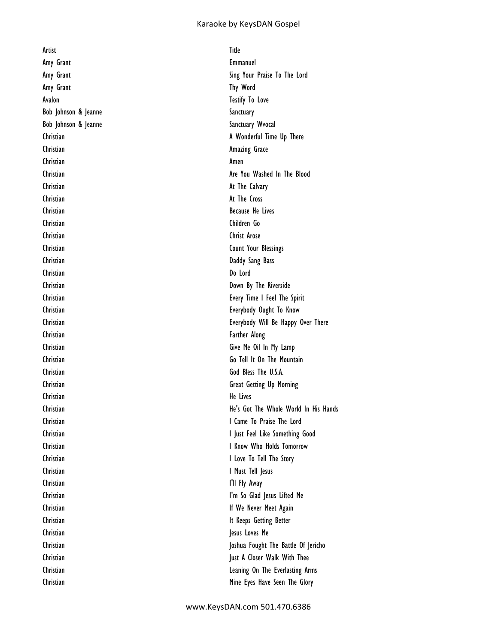## Karaoke by KeysDAN Gospel

Artist Title Amy Grant **Emmanuel** Amy Grant The United States of the United States and The Word Avalon Testify To Love Bob Johnson & Jeanne Sanctuary Bob Johnson & Jeanne Sanctuary Wvocal Christian **Amazing Grace** Christian Amen Christian **At The Calvary** Christian **At The Cross** Christian Because He Lives Christian Children Go Christian Christ Arose Christian Daddy Sang Bass Christian Do Lord Christian Farther Along Christian He Lives Christian **I Must Tell Jesus** Christian I'll Fly Away Christian **Jesus Loves** Me

Amy Grant **Sing Your Praise To The Lord** Christian **A** Wonderful Time Up There Christian **Are You Washed In The Blood** Christian Christian Count Your Blessings Christian Down By The Riverside Christian Every Time I Feel The Spirit Christian Everybody Ought To Know Christian Everybody Will Be Happy Over There Christian Give Me Oil In My Lamp Christian Go Tell It On The Mountain Christian God Bless The U.S.A. Christian Great Getting Up Morning Christian He's Got The Whole World In His Hands Christian **I Came To Praise The Lord** Christian **I Just Feel Like Something Good** Christian **I Know Who Holds Tomorrow** Christian **I Love To Tell The Story** Christian I'm So Glad Jesus Lifted Me Christian **If We Never Meet Again** Christian **It Keeps Getting Better** Christian Joshua Fought The Battle Of Jericho Christian Just A Closer Walk With Thee Christian Leaning On The Everlasting Arms Christian **Mine Eyes Have Seen The Glory**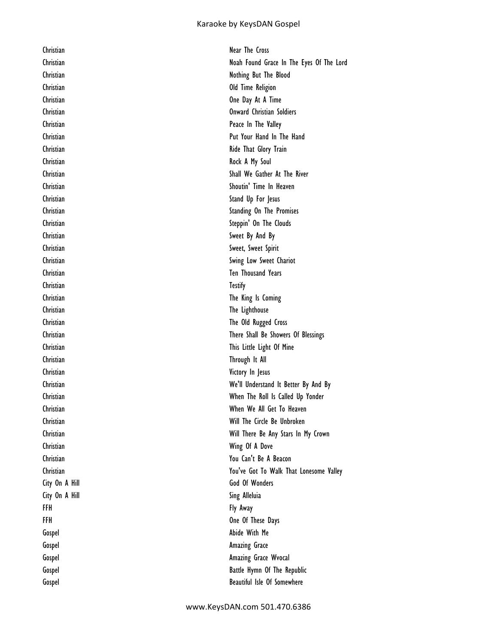## Karaoke by KeysDAN Gospel

| Christian      | Near The Cross                           |
|----------------|------------------------------------------|
| Christian      | Noah Found Grace In The Eyes Of The Lord |
| Christian      | Nothing But The Blood                    |
| Christian      | Old Time Religion                        |
| Christian      | One Day At A Time                        |
| Christian      | <b>Onward Christian Soldiers</b>         |
| Christian      | Peace In The Valley                      |
| Christian      | Put Your Hand In The Hand                |
| Christian      | Ride That Glory Train                    |
| Christian      | Rock A My Soul                           |
| Christian      | Shall We Gather At The River             |
| Christian      | Shoutin' Time In Heaven                  |
| Christian      | Stand Up For Jesus                       |
| Christian      | Standing On The Promises                 |
| Christian      | Steppin' On The Clouds                   |
| Christian      | Sweet By And By                          |
| Christian      | Sweet, Sweet Spirit                      |
| Christian      | Swing Low Sweet Chariot                  |
| Christian      | Ten Thousand Years                       |
| Christian      | <b>Testify</b>                           |
| Christian      | The King Is Coming                       |
| Christian      | The Lighthouse                           |
| Christian      | The Old Rugged Cross                     |
| Christian      | There Shall Be Showers Of Blessings      |
| Christian      | This Little Light Of Mine                |
| Christian      | Through It All                           |
| Christian      | Victory In Jesus                         |
| Christian      | We'll Understand It Better By And By     |
| Christian      | When The Roll Is Called Up Yonder        |
| Christian      | When We All Get To Heaven                |
| Christian      | Will The Circle Be Unbroken              |
| Christian      | Will There Be Any Stars In My Crown      |
| Christian      | Wing Of A Dove                           |
| Christian      | You Can't Be A Beacon                    |
| Christian      | You've Got To Walk That Lonesome Valley  |
| City On A Hill | God Of Wonders                           |
| City On A Hill | Sing Alleluia                            |
| FFH            | Fly Away                                 |
| FFH            | One Of These Days                        |
| Gospel         | Abide With Me                            |
| Gospel         | Amazing Grace                            |
| Gospel         | Amazing Grace Wvocal                     |
| Gospel         | Battle Hymn Of The Republic              |
| Gospel         | Beautiful Isle Of Somewhere              |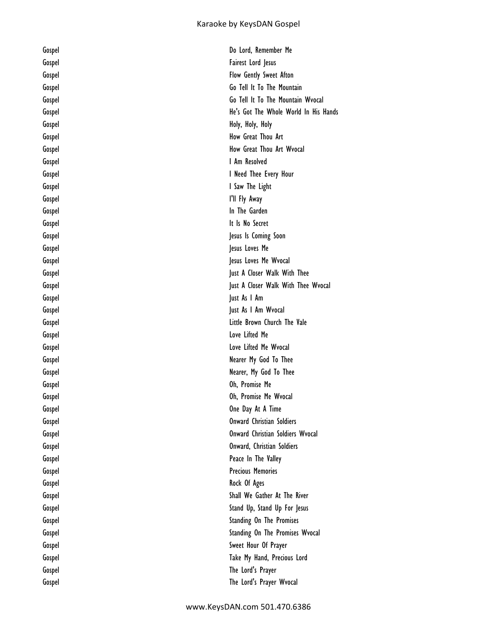| Gospel | Do Lord, Remember Me                  |
|--------|---------------------------------------|
| Gospel | Fairest Lord Jesus                    |
| Gospel | Flow Gently Sweet Afton               |
| Gospel | Go Tell It To The Mountain            |
| Gospel | Go Tell It To The Mountain Wyocal     |
| Gospel | He's Got The Whole World In His Hands |
| Gospel | Holy, Holy, Holy                      |
| Gospel | How Great Thou Art                    |
| Gospel | How Great Thou Art Wvocal             |
| Gospel | I Am Resolved                         |
| Gospel | I Need Thee Every Hour                |
| Gospel | I Saw The Light                       |
| Gospel | I'll Fly Away                         |
| Gospel | In The Garden                         |
| Gospel | It Is No Secret                       |
| Gospel | Jesus Is Coming Soon                  |
| Gospel | Jesus Loves Me                        |
| Gospel | Jesus Loves Me Wvocal                 |
| Gospel | Just A Closer Walk With Thee          |
| Gospel | Just A Closer Walk With Thee Wvocal   |
| Gospel | Just As I Am                          |
| Gospel | Just As I Am Wyocal                   |
| Gospel | Little Brown Church The Vale          |
| Gospel | Love Lifted Me                        |
| Gospel | Love Lifted Me Wvocal                 |
| Gospel | Nearer My God To Thee                 |
| Gospel | Nearer, My God To Thee                |
| Gospel | Oh, Promise Me                        |
| Gospel | Oh, Promise Me Wvocal                 |
| Gospel | One Day At A Time                     |
| Gospel | <b>Onward Christian Soldiers</b>      |
| Gospel | Onward Christian Soldiers Wyocal      |
| Gospel | Onward, Christian Soldiers            |
| Gospel | Peace In The Valley                   |
| Gospel | <b>Precious Memories</b>              |
| Gospel | Rock Of Ages                          |
| Gospel | Shall We Gather At The River          |
| Gospel | Stand Up, Stand Up For Jesus          |
| Gospel | Standing On The Promises              |
| Gospel | Standing On The Promises Wvocal       |
| Gospel | Sweet Hour Of Prayer                  |
| Gospel | Take My Hand, Precious Lord           |
| Gospel | The Lord's Prayer                     |
| Gospel | The Lord's Prayer Wvocal              |